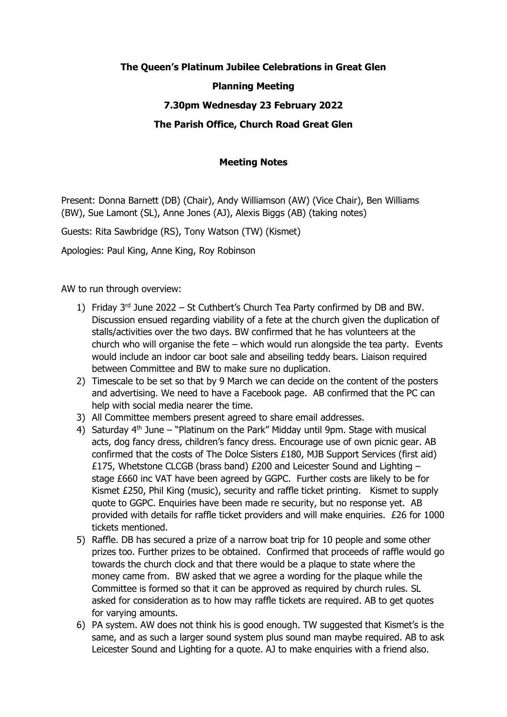## **The Queen's Platinum Jubilee Celebrations in Great Glen Planning Meeting**

## **7.30pm Wednesday 23 February 2022**

## **The Parish Office, Church Road Great Glen**

## **Meeting Notes**

Present: Donna Barnett (DB) (Chair), Andy Williamson (AW) (Vice Chair), Ben Williams (BW), Sue Lamont (SL), Anne Jones (AJ), Alexis Biggs (AB) (taking notes)

Guests: Rita Sawbridge (RS), Tony Watson (TW) (Kismet)

Apologies: Paul King, Anne King, Roy Robinson

AW to run through overview:

- 1) Friday  $3^{rd}$  June 2022 St Cuthbert's Church Tea Party confirmed by DB and BW. Discussion ensued regarding viability of a fete at the church given the duplication of stalls/activities over the two days. BW confirmed that he has volunteers at the church who will organise the fete – which would run alongside the tea party. Events would include an indoor car boot sale and abseiling teddy bears. Liaison required between Committee and BW to make sure no duplication.
- 2) Timescale to be set so that by 9 March we can decide on the content of the posters and advertising. We need to have a Facebook page. AB confirmed that the PC can help with social media nearer the time.
- 3) All Committee members present agreed to share email addresses.
- 4) Saturday  $4<sup>th</sup>$  June "Platinum on the Park" Midday until 9pm. Stage with musical acts, dog fancy dress, children's fancy dress. Encourage use of own picnic gear. AB confirmed that the costs of The Dolce Sisters £180, MJB Support Services (first aid) £175, Whetstone CLCGB (brass band) £200 and Leicester Sound and Lighting  $$ stage £660 inc VAT have been agreed by GGPC. Further costs are likely to be for Kismet £250, Phil King (music), security and raffle ticket printing. Kismet to supply quote to GGPC. Enquiries have been made re security, but no response yet. AB provided with details for raffle ticket providers and will make enquiries. £26 for 1000 tickets mentioned.
- 5) Raffle. DB has secured a prize of a narrow boat trip for 10 people and some other prizes too. Further prizes to be obtained. Confirmed that proceeds of raffle would go towards the church clock and that there would be a plaque to state where the money came from. BW asked that we agree a wording for the plaque while the Committee is formed so that it can be approved as required by church rules. SL asked for consideration as to how may raffle tickets are required. AB to get quotes for varying amounts.
- 6) PA system. AW does not think his is good enough. TW suggested that Kismet's is the same, and as such a larger sound system plus sound man maybe required. AB to ask Leicester Sound and Lighting for a quote. AJ to make enquiries with a friend also.